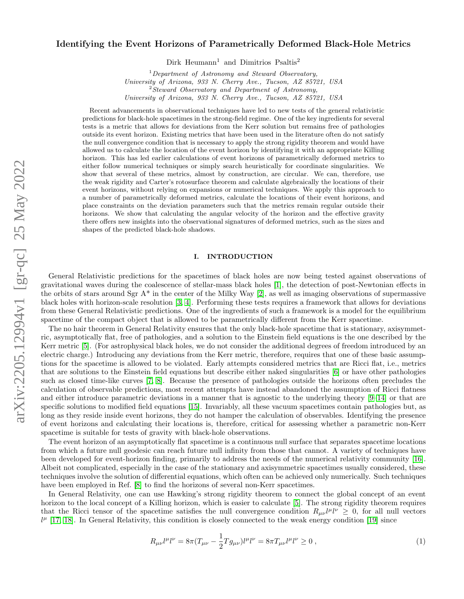# Identifying the Event Horizons of Parametrically Deformed Black-Hole Metrics

 $\rm{Dirk}\,$  Heumann $^1$  and  $\rm{Dimitrios}\,$  Psaltis<sup>2</sup>

 $1$ Department of Astronomy and Steward Observatory, University of Arizona, 933 N. Cherry Ave., Tucson, AZ 85721, USA  $2$ Steward Observatory and Department of Astronomy,

University of Arizona, 933 N. Cherry Ave., Tucson, AZ 85721, USA

Recent advancements in observational techniques have led to new tests of the general relativistic predictions for black-hole spacetimes in the strong-field regime. One of the key ingredients for several tests is a metric that allows for deviations from the Kerr solution but remains free of pathologies outside its event horizon. Existing metrics that have been used in the literature often do not satisfy the null convergence condition that is necessary to apply the strong rigidity theorem and would have allowed us to calculate the location of the event horizon by identifying it with an appropriate Killing horizon. This has led earlier calculations of event horizons of parametrically deformed metrics to either follow numerical techniques or simply search heuristically for coordinate singularities. We show that several of these metrics, almost by construction, are circular. We can, therefore, use the weak rigidity and Carter's rotosurface theorem and calculate algebraically the locations of their event horizons, without relying on expansions or numerical techniques. We apply this approach to a number of parametrically deformed metrics, calculate the locations of their event horizons, and place constraints on the deviation parameters such that the metrics remain regular outside their horizons. We show that calculating the angular velocity of the horizon and the effective gravity there offers new insights into the observational signatures of deformed metrics, such as the sizes and shapes of the predicted black-hole shadows.

# I. INTRODUCTION

General Relativistic predictions for the spacetimes of black holes are now being tested against observations of gravitational waves during the coalescence of stellar-mass black holes [\[1\]](#page-8-0), the detection of post-Newtonian effects in the orbits of stars around Sgr  $A^*$  in the center of the Milky Way [\[2\]](#page-8-1), as well as imaging observations of supermassive black holes with horizon-scale resolution [\[3,](#page-8-2) [4\]](#page-9-0). Performing these tests requires a framework that allows for deviations from these General Relativistic predictions. One of the ingredients of such a framework is a model for the equilibrium spacetime of the compact object that is allowed to be parametrically different from the Kerr spacetime.

The no hair theorem in General Relativity ensures that the only black-hole spacetime that is stationary, axisymmetric, asymptotically flat, free of pathologies, and a solution to the Einstein field equations is the one described by the Kerr metric [\[5\]](#page-9-1). (For astrophysical black holes, we do not consider the additional degrees of freedom introduced by an electric charge.) Introducing any deviations from the Kerr metric, therefore, requires that one of these basic assumptions for the spacetime is allowed to be violated. Early attempts considered metrics that are Ricci flat, i.e., metrics that are solutions to the Einstein field equations but describe either naked singularities [\[6\]](#page-9-2) or have other pathologies such as closed time-like curves [\[7,](#page-9-3) [8\]](#page-9-4). Because the presence of pathologies outside the horizons often precludes the calculation of observable predictions, most recent attempts have instead abandoned the assumption of Ricci flatness and either introduce parametric deviations in a manner that is agnostic to the underlying theory [\[9–](#page-9-5)[14\]](#page-9-6) or that are specific solutions to modified field equations [\[15\]](#page-9-7). Invariably, all these vacuum spacetimes contain pathologies but, as long as they reside inside event horizons, they do not hamper the calculation of observables. Identifying the presence of event horizons and calculating their locations is, therefore, critical for assessing whether a parametric non-Kerr spacetime is suitable for tests of gravity with black-hole observations.

The event horizon of an asymptotically flat spacetime is a continuous null surface that separates spacetime locations from which a future null geodesic can reach future null infinity from those that cannot. A variety of techniques have been developed for event-horizon finding, primarily to address the needs of the numerical relativity community [\[16\]](#page-9-8). Albeit not complicated, especially in the case of the stationary and axisymmetric spacetimes usually considered, these techniques involve the solution of differential equations, which often can be achieved only numerically. Such techniques have been employed in Ref. [\[8\]](#page-9-4) to find the horizons of several non-Kerr spacetimes.

In General Relativity, one can use Hawking's strong rigidity theorem to connect the global concept of an event horizon to the local concept of a Killing horizon, which is easier to calculate [\[5\]](#page-9-9). The strong rigidity theorem requires that the Ricci tensor of the spacetime satisfies the null convergence condition  $R_{\mu\nu}l^{\mu}l^{\nu} \geq 0$ , for all null vectors  $l^{\mu}$  [\[17,](#page-9-10) [18\]](#page-9-11). In General Relativity, this condition is closely connected to the weak energy condition [\[19\]](#page-9-12) since

$$
R_{\mu\nu}l^{\mu}l^{\nu} = 8\pi (T_{\mu\nu} - \frac{1}{2}Tg_{\mu\nu})l^{\mu}l^{\nu} = 8\pi T_{\mu\nu}l^{\mu}l^{\nu} \ge 0 , \qquad (1)
$$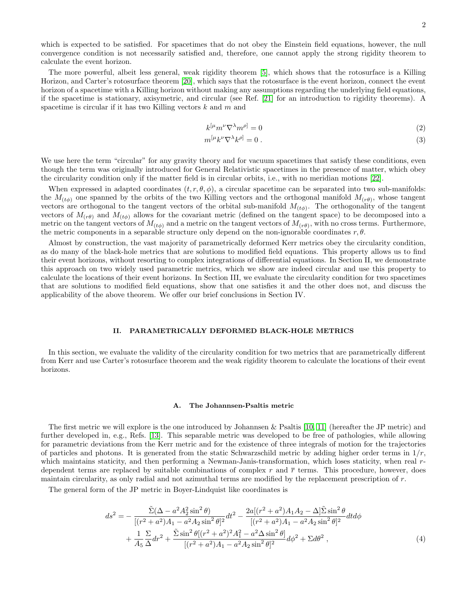which is expected to be satisfied. For spacetimes that do not obey the Einstein field equations, however, the null convergence condition is not necessarily satisfied and, therefore, one cannot apply the strong rigidity theorem to calculate the event horizon.

The more powerful, albeit less general, weak rigidity theorem [\[5\]](#page-9-13), which shows that the rotosurface is a Killing Horizon, and Carter's rotosurface theorem [\[20\]](#page-9-14), which says that the rotosurface is the event horizon, connect the event horizon of a spacetime with a Killing horizon without making any assumptions regarding the underlying field equations, if the spacetime is stationary, axisymetric, and circular (see Ref. [\[21\]](#page-9-15) for an introduction to rigidity theorems). A spacetime is circular if it has two Killing vectors  $k$  and  $m$  and

$$
k^{\left[\mu m\nu \nabla^{\lambda} m^{\rho\right]} = 0 \tag{2}
$$

$$
m^{[\mu}k^{\nu}\nabla^{\lambda}k^{\rho]} = 0.
$$
 (3)

We use here the term "circular" for any gravity theory and for vacuum spacetimes that satisfy these conditions, even though the term was originally introduced for General Relativistic spacetimes in the presence of matter, which obey the circularity condition only if the matter field is in circular orbits, i.e., with no meridian motions [\[22\]](#page-9-16).

When expressed in adapted coordinates  $(t, r, \theta, \phi)$ , a circular spacetime can be separated into two sub-manifolds: the  $M_{(t\phi)}$  one spanned by the orbits of the two Killing vectors and the orthogonal manifold  $M_{(r\theta)}$ , whose tangent vectors are orthogonal to the tangent vectors of the orbital sub-manifold  $M_{(t\phi)}$ . The orthogonality of the tangent vectors of  $M_{(r\theta)}$  and  $M_{(t\phi)}$  allows for the covariant metric (defined on the tangent space) to be decomposed into a metric on the tangent vectors of  $M_{(t\phi)}$  and a metric on the tangent vectors of  $M_{(r\theta)}$ , with no cross terms. Furthermore, the metric components in a separable structure only depend on the non-ignorable coordinates  $r, \theta$ .

Almost by construction, the vast majority of parametrically deformed Kerr metrics obey the circularity condition, as do many of the black-hole metrics that are solutions to modified field equations. This property allows us to find their event horizons, without resorting to complex integrations of differential equations. In Section II, we demonstrate this approach on two widely used parametric metrics, which we show are indeed circular and use this property to calculate the locations of their event horizons. In Section III, we evaluate the circularity condition for two spacetimes that are solutions to modified field equations, show that one satisfies it and the other does not, and discuss the applicability of the above theorem. We offer our brief conclusions in Section IV.

#### II. PARAMETRICALLY DEFORMED BLACK-HOLE METRICS

In this section, we evaluate the validity of the circularity condition for two metrics that are parametrically different from Kerr and use Carter's rotosurface theorem and the weak rigidity theorem to calculate the locations of their event horizons.

### A. The Johannsen-Psaltis metric

The first metric we will explore is the one introduced by Johannsen & Psaltis [\[10,](#page-9-17) [11\]](#page-9-18) (hereafter the JP metric) and further developed in, e.g., Refs. [\[13\]](#page-9-19). This separable metric was developed to be free of pathologies, while allowing for parametric deviations from the Kerr metric and for the existence of three integrals of motion for the trajectories of particles and photons. It is generated from the static Schwarzschild metric by adding higher order terms in  $1/r$ , which maintains staticity, and then performing a Newman-Janis-transformation, which loses staticity, when real rdependent terms are replaced by suitable combinations of complex r and  $\bar{r}$  terms. This procedure, however, does maintain circularity, as only radial and not azimuthal terms are modified by the replacement prescription of r.

The general form of the JP metric in Boyer-Lindquist like coordinates is

$$
ds^{2} = -\frac{\tilde{\Sigma}(\Delta - a^{2}A_{2}^{2}\sin^{2}\theta)}{[(r^{2} + a^{2})A_{1} - a^{2}A_{2}\sin^{2}\theta]^{2}}dt^{2} - \frac{2a[(r^{2} + a^{2})A_{1}A_{2} - \Delta]\tilde{\Sigma}\sin^{2}\theta}{[(r^{2} + a^{2})A_{1} - a^{2}A_{2}\sin^{2}\theta]^{2}}dt d\phi
$$

$$
+ \frac{1}{A_{5}}\frac{\Sigma}{\Delta}dr^{2} + \frac{\tilde{\Sigma}\sin^{2}\theta[(r^{2} + a^{2})^{2}A_{1}^{2} - a^{2}\Delta\sin^{2}\theta]}{[(r^{2} + a^{2})A_{1} - a^{2}A_{2}\sin^{2}\theta]^{2}}d\phi^{2} + \Sigma d\theta^{2}, \tag{4}
$$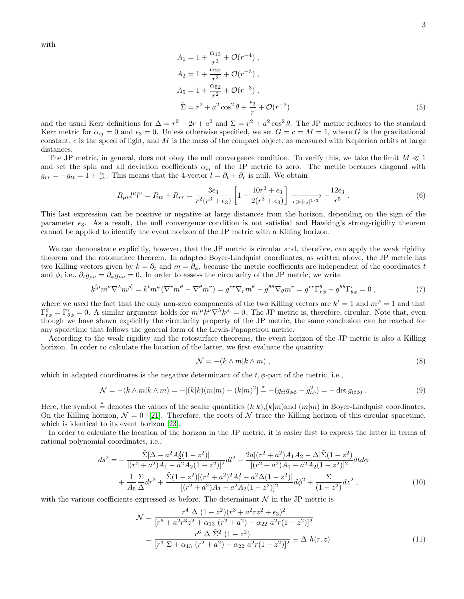with

$$
A_1 = 1 + \frac{\alpha_{13}}{r^3} + \mathcal{O}(r^{-4}),
$$
  
\n
$$
A_2 = 1 + \frac{\alpha_{22}}{r^2} + \mathcal{O}(r^{-3}),
$$
  
\n
$$
A_5 = 1 + \frac{\alpha_{52}}{r^2} + \mathcal{O}(r^{-3}),
$$
  
\n
$$
\tilde{\Sigma} = r^2 + a^2 \cos^2 \theta + \frac{\epsilon_3}{r} + \mathcal{O}(r^{-2})
$$
\n(5)

and the usual Kerr definitions for  $\Delta = r^2 - 2r + a^2$  and  $\Sigma = r^2 + a^2 \cos^2 \theta$ . The JP metric reduces to the standard Kerr metric for  $\alpha_{ij} = 0$  and  $\epsilon_3 = 0$ . Unless otherwise specified, we set  $G = c = M = 1$ , where G is the gravitational constant,  $c$  is the speed of light, and  $M$  is the mass of the compact object, as measured with Keplerian orbits at large distances.

The JP metric, in general, does not obey the null convergence condition. To verify this, we take the limit  $M \ll 1$ and set the spin and all deviation coefficients  $\alpha_{ij}$  of the JP metric to zero. The metric becomes diagonal with  $g_{rr} = -g_{tt} = 1 + \frac{\epsilon_3}{r^3}$ . This means that the 4-vector  $l = \partial_t + \partial_r$  is null. We obtain

$$
R_{\mu\nu}l^{\mu}l^{\nu} = R_{tt} + R_{rr} = \frac{3\epsilon_3}{r^2(r^3 + \epsilon_3)} \left[ 1 - \frac{10r^3 + \epsilon_3}{2(r^3 + \epsilon_3)} \right] \xrightarrow[r \gg |\epsilon_3|^{1/3} \sim \frac{12\epsilon_3}{r^5} . \tag{6}
$$

This last expression can be positive or negative at large distances from the horizon, depending on the sign of the parameter  $\epsilon_3$ . As a result, the null convergence condition is not satisfied and Hawking's strong-rigidity theorem cannot be applied to identify the event horizon of the JP metric with a Killing horizon.

We can demonstrate explicitly, however, that the JP metric is circular and, therefore, can apply the weak rigidity theorem and the rotosurface theorem. In adapted Boyer-Lindquist coordinates, as written above, the JP metric has two Killing vectors given by  $k = \partial_t$  and  $m = \partial_{\phi}$ , because the metric coefficients are independent of the coordinates t and  $\phi$ , i.e.,  $\partial_t g_{\mu\nu} = \partial_\phi g_{\mu\nu} = 0$ . In order to assess the circularity of the JP metric, we write

$$
k^{[\mu}m^{\nu}\nabla^{\lambda}m^{\rho]} = k^t m^{\phi}(\nabla^r m^{\theta} - \nabla^{\theta}m^r) = g^{rr}\nabla_r m^{\theta} - g^{\theta\theta}\nabla_{\theta}m^r = g^{rr}\Gamma^{\theta}_{r\phi} - g^{\theta\theta}\Gamma^r_{\theta\phi} = 0,
$$
\n(7)

where we used the fact that the only non-zero components of the two Killing vectors are  $k^t = 1$  and  $m^{\phi} = 1$  and that  $\Gamma^{\theta}_{r\phi} = \Gamma^r_{\theta\phi} = 0$ . A similar argument holds for  $m^{[\mu}k^{\nu}\nabla^{\lambda}k^{\rho]} = 0$ . The JP metric is, therefore, circular. Note that, even though we have shown explicitly the circularity property of the JP metric, the same conclusion can be reached for any spacetime that follows the general form of the Lewis-Papapetrou metric.

According to the weak rigidity and the rotosurface theorems, the event horizon of the JP metric is also a Killing horizon. In order to calculate the location of the latter, we first evaluate the quantity

$$
\mathcal{N} = -(k \wedge m | k \wedge m) , \qquad (8)
$$

which in adapted coordinates is the negative determinant of the  $t, \phi$ -part of the metric, i.e.,

$$
\mathcal{N} = -(k \wedge m|k \wedge m) = -[(k|k)(m|m) - (k|m)^2] \stackrel{*}{=} -(g_{tt}g_{\phi\phi} - g_{t\phi}^2) = -\det g_{(t\phi)}.
$$
\n(9)

Here, the symbol  $\stackrel{*}{=}$  denotes the values of the scalar quantities  $(k|k)$ ,  $(k|m)$  and  $(m|m)$  in Boyer-Lindquist coordinates. On the Killing horizon,  $\mathcal{N} = 0$  [\[21\]](#page-9-15). Therefore, the roots of N trace the Killing horizon of this circular spacetime, which is identical to its event horizon [\[23\]](#page-9-20).

In order to calculate the location of the horizon in the JP metric, it is easier first to express the latter in terms of rational polynomial coordinates, i.e.,

$$
ds^{2} = -\frac{\tilde{\Sigma}[\Delta - a^{2}A_{2}^{2}(1-z^{2})]}{[(r^{2} + a^{2})A_{1} - a^{2}A_{2}(1-z^{2})]^{2}}dt^{2} - \frac{2a[(r^{2} + a^{2})A_{1}A_{2} - \Delta]\tilde{\Sigma}(1-z^{2})}{[(r^{2} + a^{2})A_{1} - a^{2}A_{2}(1-z^{2})]^{2}}dt d\phi
$$

$$
+\frac{1}{A_{5}}\frac{\Sigma}{\Delta}dr^{2} + \frac{\tilde{\Sigma}(1-z^{2})[(r^{2} + a^{2})^{2}A_{1}^{2} - a^{2}\Delta(1-z^{2})]}{[(r^{2} + a^{2})A_{1} - a^{2}A_{2}(1-z^{2})]^{2}}d\phi^{2} + \frac{\Sigma}{(1-z^{2})}dz^{2}, \qquad (10)
$$

with the various coefficients expressed as before. The determinant  $N$  in the JP metric is

$$
\mathcal{N} = \frac{r^4 \Delta (1 - z^2)(r^3 + a^2rz^2 + \epsilon_3)^2}{[r^5 + a^2r^3z^2 + \alpha_{13} (r^2 + a^2) - \alpha_{22} a^2r(1 - z^2)]^2}
$$
  
= 
$$
\frac{r^6 \Delta \tilde{\Sigma}^2 (1 - z^2)}{[r^3 \Sigma + \alpha_{13} (r^2 + a^2) - \alpha_{22} a^2r(1 - z^2)]^2} \equiv \Delta h(r, z)
$$
(11)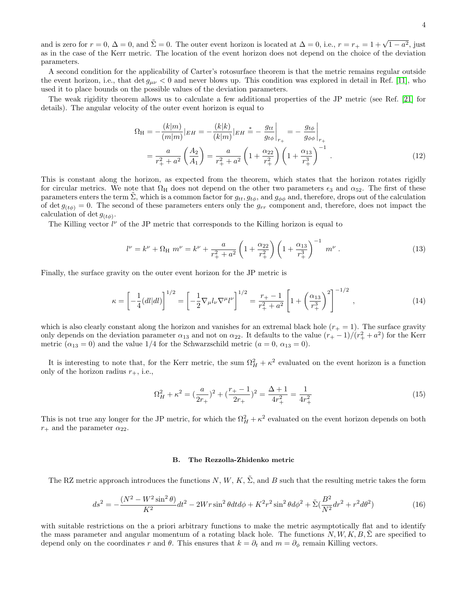and is zero for  $r = 0$ ,  $\Delta = 0$ , and  $\tilde{\Sigma} = 0$ . The outer event horizon is located at  $\Delta = 0$ , i.e.,  $r = r_+ = 1 + \sqrt{1 - a^2}$ , just as in the case of the Kerr metric. The location of the event horizon does not depend on the choice of the deviation parameters.

A second condition for the applicability of Carter's rotosurface theorem is that the metric remains regular outside the event horizon, i.e., that det  $g_{\mu\nu} < 0$  and never blows up. This condition was explored in detail in Ref. [\[11\]](#page-9-18), who used it to place bounds on the possible values of the deviation parameters.

The weak rigidity theorem allows us to calculate a few additional properties of the JP metric (see Ref. [\[21\]](#page-9-15) for details). The angular velocity of the outer event horizon is equal to

$$
\Omega_{\rm H} = -\frac{(k|m)}{(m|m)}|_{EH} = -\frac{(k|k)}{(k|m)}|_{EH} \stackrel{*}{=} -\frac{g_{tt}}{g_{t\phi}}\Big|_{r_+} = -\frac{g_{t\phi}}{g_{\phi\phi}}\Big|_{r_+}
$$

$$
= \frac{a}{r_+^2 + a^2} \left(\frac{A_2}{A_1}\right) = \frac{a}{r_+^2 + a^2} \left(1 + \frac{\alpha_{22}}{r_+^2}\right) \left(1 + \frac{\alpha_{13}}{r_+^3}\right)^{-1} . \tag{12}
$$

This is constant along the horizon, as expected from the theorem, which states that the horizon rotates rigidly for circular metrics. We note that  $\Omega_H$  does not depend on the other two parameters  $\epsilon_3$  and  $\alpha_{52}$ . The first of these parameters enters the term  $\Sigma$ , which is a common factor for  $g_{tt}$ ,  $g_{tt}$ , and  $g_{\phi\phi}$  and, therefore, drops out of the calculation of det  $g_{(t\phi)} = 0$ . The second of these parameters enters only the  $g_{rr}$  component and, therefore, does not impact the calculation of det  $g_{(t\phi)}$ .

The Killing vector  $l^{\nu}$  of the JP metric that corresponds to the Killing horizon is equal to

$$
l^{\nu} = k^{\nu} + \Omega_{\rm H} \ m^{\nu} = k^{\nu} + \frac{a}{r_+^2 + a^2} \left( 1 + \frac{\alpha_{22}}{r_+^2} \right) \left( 1 + \frac{\alpha_{13}}{r_+^3} \right)^{-1} \ m^{\nu} \ . \tag{13}
$$

Finally, the surface gravity on the outer event horizon for the JP metric is

$$
\kappa = \left[ -\frac{1}{4} (dl|dl) \right]^{1/2} = \left[ -\frac{1}{2} \nabla_{\mu} l_{\nu} \nabla^{\mu} l^{\nu} \right]^{1/2} = \frac{r_{+} - 1}{r_{+}^{2} + a^{2}} \left[ 1 + \left( \frac{\alpha_{13}}{r_{+}^{3}} \right)^{2} \right]^{-1/2} , \qquad (14)
$$

which is also clearly constant along the horizon and vanishes for an extremal black hole  $(r_{+} = 1)$ . The surface gravity only depends on the deviation parameter  $\alpha_{13}$  and not on  $\alpha_{22}$ . It defaults to the value  $(r_{+}-1)/(r_{+}^{2}+a^{2})$  for the Kerr metric ( $\alpha_{13} = 0$ ) and the value 1/4 for the Schwarzschild metric ( $a = 0, \alpha_{13} = 0$ ).

It is interesting to note that, for the Kerr metric, the sum  $\Omega_H^2 + \kappa^2$  evaluated on the event horizon is a function only of the horizon radius  $r_{+}$ , i.e.,

$$
\Omega_H^2 + \kappa^2 = \left(\frac{a}{2r_+}\right)^2 + \left(\frac{r_+ - 1}{2r_+}\right)^2 = \frac{\Delta + 1}{4r_+^2} = \frac{1}{4r_+^2} \tag{15}
$$

This is not true any longer for the JP metric, for which the  $\Omega_H^2 + \kappa^2$  evaluated on the event horizon depends on both  $r_+$  and the parameter  $\alpha_{22}$ .

### B. The Rezzolla-Zhidenko metric

The RZ metric approach introduces the functions N, W, K,  $\Sigma$ , and B such that the resulting metric takes the form

$$
ds^{2} = -\frac{(N^{2} - W^{2}\sin^{2}\theta)}{K^{2}}dt^{2} - 2Wr\sin^{2}\theta dt d\phi + K^{2}r^{2}\sin^{2}\theta d\phi^{2} + \tilde{\Sigma}(\frac{B^{2}}{N^{2}}dr^{2} + r^{2}d\theta^{2})
$$
(16)

with suitable restrictions on the a priori arbitrary functions to make the metric asymptotically flat and to identify the mass parameter and angular momentum of a rotating black hole. The functions  $N, W, K, B, \Sigma$  are specified to depend only on the coordinates r and  $\theta$ . This ensures that  $k = \partial_t$  and  $m = \partial_{\phi}$  remain Killing vectors.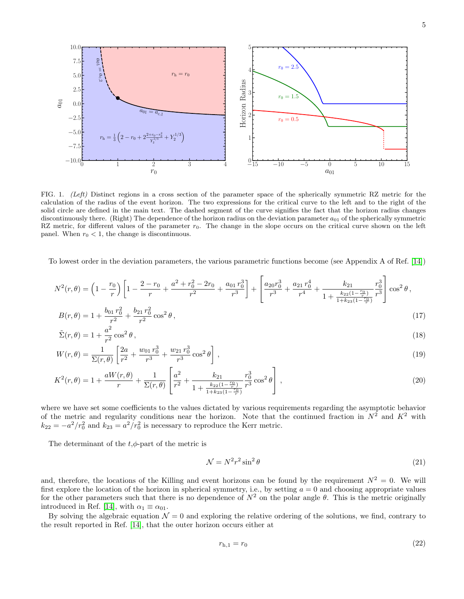

<span id="page-4-0"></span>FIG. 1. (Left) Distinct regions in a cross section of the parameter space of the spherically symmetric RZ metric for the calculation of the radius of the event horizon. The two expressions for the critical curve to the left and to the right of the solid circle are defined in the main text. The dashed segment of the curve signifies the fact that the horizon radius changes discontinuously there. (Right) The dependence of the horizon radius on the deviation parameter  $a_{01}$  of the spherically symmetric RZ metric, for different values of the parameter  $r_0$ . The change in the slope occurs on the critical curve shown on the left panel. When  $r_0 < 1$ , the change is discontinuous.

To lowest order in the deviation parameters, the various parametric functions become (see Appendix A of Ref. [\[14\]](#page-9-21))

<span id="page-4-1"></span>
$$
N^{2}(r,\theta) = \left(1 - \frac{r_{0}}{r}\right) \left[1 - \frac{2 - r_{0}}{r} + \frac{a^{2} + r_{0}^{2} - 2r_{0}}{r^{2}} + \frac{a_{01}r_{0}^{3}}{r^{3}}\right] + \left[\frac{a_{20}r_{0}^{3}}{r^{3}} + \frac{a_{21}r_{0}^{4}}{r^{4}} + \frac{k_{21}}{1 + \frac{k_{22}(1 - \frac{r_{0}}{r})}{1 + k_{23}(1 - \frac{r_{0}}{r})}}\frac{r_{0}^{3}}{r^{3}}\right] \cos^{2}\theta,
$$
\n
$$
P(r,\theta) = 1 + \frac{b_{01}r_{0}^{2}}{r^{3}} + \frac{b_{21}r_{0}^{2}}{r^{2}} + \frac{a_{22}r_{0}^{2}}{r^{3}} + \frac{a_{23}r_{0}^{4}}{r^{4}} + \frac{k_{23}(1 - \frac{r_{0}}{r})}{1 + \frac{k_{23}(1 - \frac{r_{0}}{r})}{r^{3}}}\right] \cos^{2}\theta,
$$
\n(17)

$$
B(r,\theta) = 1 + \frac{b_{01}r_0^2}{r^2} + \frac{b_{21}r_0^2}{r^2}\cos^2\theta\,,\tag{17}
$$

$$
\tilde{\Sigma}(r,\theta) = 1 + \frac{a^2}{r^2} \cos^2 \theta,
$$
\n
$$
\begin{array}{ccc}\n1 & \left[2a & w_{01}r_0^3 & w_{21}r_0^3 & v_{02} \right] \n\end{array}
$$
\n(18)

$$
W(r,\theta) = \frac{1}{\Sigma(r,\theta)} \left[ \frac{2a}{r^2} + \frac{w_{01}r_0^3}{r^3} + \frac{w_{21}r_0^3}{r^3} \cos^2 \theta \right],
$$
\n(19)

$$
K^{2}(r,\theta) = 1 + \frac{aW(r,\theta)}{r} + \frac{1}{\Sigma(r,\theta)} \left[ \frac{a^{2}}{r^{2}} + \frac{k_{21}}{1 + \frac{k_{22}(1 - \frac{r_{0}}{r})}{1 + k_{23}(1 - \frac{r_{0}}{r})}} \frac{r_{0}^{3}}{r^{3}} \cos^{2} \theta \right],
$$
\n(20)

where we have set some coefficients to the values dictated by various requirements regarding the asymptotic behavior of the metric and regularity conditions near the horizon. Note that the continued fraction in  $N^2$  and  $K^2$  with  $k_{22} = -a^2/r_0^2$  and  $k_{23} = a^2/r_0^2$  is necessary to reproduce the Kerr metric.

The determinant of the  $t, \phi$ -part of the metric is

$$
\mathcal{N} = N^2 r^2 \sin^2 \theta \tag{21}
$$

and, therefore, the locations of the Killing and event horizons can be found by the requirement  $N^2 = 0$ . We will first explore the location of the horizon in spherical symmetry, i.e., by setting  $a = 0$  and choosing appropriate values for the other parameters such that there is no dependence of  $N^2$  on the polar angle  $\theta$ . This is the metric originally introduced in Ref. [\[14\]](#page-9-6), with  $\alpha_1 \equiv \alpha_{01}$ .

By solving the algebraic equation  $\mathcal{N} = 0$  and exploring the relative ordering of the solutions, we find, contrary to the result reported in Ref. [\[14\]](#page-9-21), that the outer horizon occurs either at

$$
r_{h,1} = r_0 \tag{22}
$$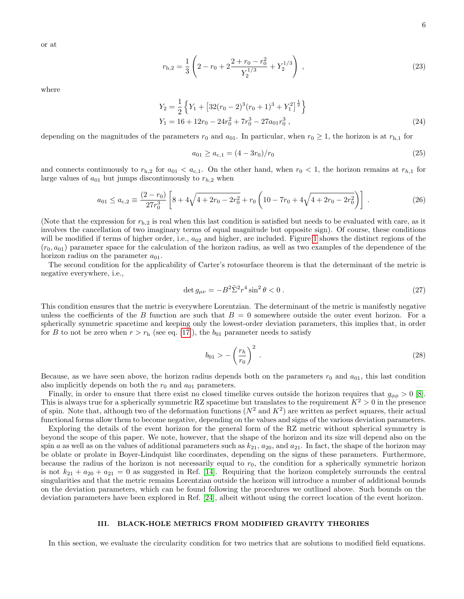$$
r_{\rm h,2} = \frac{1}{3} \left( 2 - r_0 + 2 \frac{2 + r_0 - r_0^2}{Y_2^{1/3}} + Y_2^{1/3} \right) , \qquad (23)
$$

where

$$
Y_2 = \frac{1}{2} \left\{ Y_1 + \left[ 32(r_0 - 2)^3(r_0 + 1)^3 + Y_1^2 \right]^{\frac{1}{2}} \right\}
$$
  
\n
$$
Y_1 = 16 + 12r_0 - 24r_0^2 + 7r_0^3 - 27a_{01}r_0^3 ,
$$
\n(24)

depending on the magnitudes of the parameters  $r_0$  and  $a_{01}$ . In particular, when  $r_0 \ge 1$ , the horizon is at  $r_{h,1}$  for

$$
a_{01} \ge a_{c,1} = (4 - 3r_0)/r_0 \tag{25}
$$

and connects continuously to  $r_{h,2}$  for  $a_{01} < a_{c,1}$ . On the other hand, when  $r_0 < 1$ , the horizon remains at  $r_{h,1}$  for large values of  $a_{01}$  but jumps discontinuously to  $r_{h,2}$  when

$$
a_{01} \le a_{c,2} \equiv \frac{(2-r_0)}{27r_0^3} \left[ 8 + 4\sqrt{4 + 2r_0 - 2r_0^2} + r_0 \left( 10 - 7r_0 + 4\sqrt{4 + 2r_0 - 2r_0^2} \right) \right] \,. \tag{26}
$$

(Note that the expression for  $r_{h,2}$  is real when this last condition is satisfied but needs to be evaluated with care, as it involves the cancellation of two imaginary terms of equal magnitude but opposite sign). Of course, these conditions will be modified if terms of higher order, i.e.,  $a_{02}$  and higher, are included. Figure [1](#page-4-0) shows the distinct regions of the  $(r_0, a_{01})$  parameter space for the calculation of the horizon radius, as well as two examples of the dependence of the horizon radius on the parameter  $a_{01}$ .

The second condition for the applicability of Carter's rotosurface theorem is that the determinant of the metric is negative everywhere, i.e.,

$$
\det g_{\mu\nu} = -B^2 \tilde{\Sigma}^2 r^4 \sin^2 \theta < 0 \,. \tag{27}
$$

This condition ensures that the metric is everywhere Lorentzian. The determinant of the metric is manifestly negative unless the coefficients of the B function are such that  $B = 0$  somewhere outside the outer event horizon. For a spherically symmetric spacetime and keeping only the lowest-order deviation parameters, this implies that, in order for B to not be zero when  $r > r<sub>h</sub>$  (see eq. [\[17\]](#page-4-1)), the  $b_{01}$  parameter needs to satisfy

$$
b_{01} > -\left(\frac{r_h}{r_0}\right)^2 \tag{28}
$$

Because, as we have seen above, the horizon radius depends both on the parameters  $r_0$  and  $a_{01}$ , this last condition also implicitly depends on both the  $r_0$  and  $a_{01}$  parameters.

Finally, in order to ensure that there exist no closed timelike curves outside the horizon requires that  $g_{\phi\phi} > 0$  [\[8\]](#page-9-4). This is always true for a spherically symmetric RZ spacetime but translates to the requirement  $K^2 > 0$  in the presence of spin. Note that, although two of the deformation functions  $(N^2 \text{ and } K^2)$  are written as perfect squares, their actual functional forms allow them to become negative, depending on the values and signs of the various deviation parameters.

Exploring the details of the event horizon for the general form of the RZ metric without spherical symmetry is beyond the scope of this paper. We note, however, that the shape of the horizon and its size will depend also on the spin a as well as on the values of additional parameters such as  $k_{21}$ ,  $a_{20}$ , and  $a_{21}$ . In fact, the shape of the horizon may be oblate or prolate in Boyer-Lindquist like coordinates, depending on the signs of these parameters. Furthermore, because the radius of the horizon is not necessarily equal to  $r<sub>0</sub>$ , the condition for a spherically symmetric horizon is not  $k_{21} + a_{20} + a_{21} = 0$  as suggested in Ref. [\[14\]](#page-9-21). Requiring that the horizon completely surrounds the central singularities and that the metric remains Lorentzian outside the horizon will introduce a number of additional bounds on the deviation parameters, which can be found following the procedures we outlined above. Such bounds on the deviation parameters have been explored in Ref. [\[24\]](#page-9-22), albeit without using the correct location of the event horizon.

### III. BLACK-HOLE METRICS FROM MODIFIED GRAVITY THEORIES

In this section, we evaluate the circularity condition for two metrics that are solutions to modified field equations.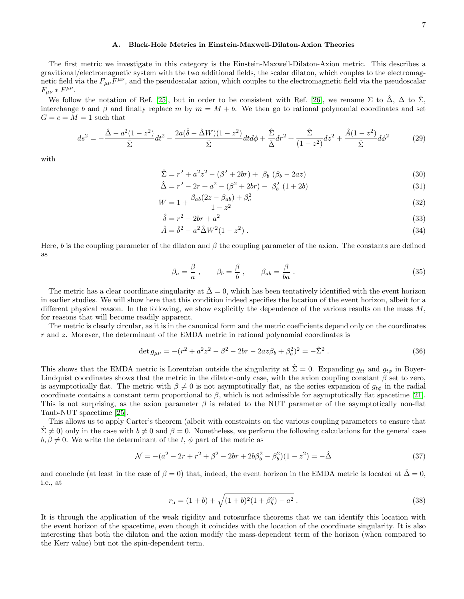#### A. Black-Hole Metrics in Einstein-Maxwell-Dilaton-Axion Theories

The first metric we investigate in this category is the Einstein-Maxwell-Dilaton-Axion metric. This describes a gravitional/electromagnetic system with the two additional fields, the scalar dilaton, which couples to the electromagnetic field via the  $F_{\mu\nu}F^{\mu\nu}$ , and the pseudoscalar axion, which couples to the electromagnetic field via the pseudoscalar  $F_{\mu\nu} * F^{\mu\nu}$ .

We follow the notation of Ref. [\[25\]](#page-9-23), but in order to be consistent with Ref. [\[26\]](#page-9-24), we rename  $\Sigma$  to  $\hat{\Delta}$ ,  $\Delta$  to  $\hat{\Sigma}$ , interchange b and β and finally replace m by  $m = M + b$ . We then go to rational polynomial coordinates and set  $G = c = M = 1$  such that

$$
ds^{2} = -\frac{\hat{\Delta} - a^{2}(1 - z^{2})}{\hat{\Sigma}}dt^{2} - \frac{2a(\hat{\delta} - \hat{\Delta}W)(1 - z^{2})}{\hat{\Sigma}}dtd\phi + \frac{\hat{\Sigma}}{\hat{\Delta}}dr^{2} + \frac{\hat{\Sigma}}{(1 - z^{2})}dz^{2} + \frac{\hat{A}(1 - z^{2})}{\hat{\Sigma}}d\phi^{2}
$$
(29)

with

$$
\hat{\Sigma} = r^2 + a^2 z^2 - (\beta^2 + 2br) + \beta_b (\beta_b - 2az)
$$
\n(30)

$$
\hat{\Delta} = r^2 - 2r + a^2 - (\beta^2 + 2br) - \beta_b^2 (1 + 2b)
$$
\n(31)

$$
W = 1 + \frac{\beta_{ab}(2z - \beta_{ab}) + \beta_a^2}{1 - z^2} \tag{32}
$$

$$
\hat{\delta} = r^2 - 2br + a^2 \tag{33}
$$

$$
\hat{A} = \hat{\delta}^2 - a^2 \hat{\Delta} W^2 (1 - z^2) \,. \tag{34}
$$

Here, b is the coupling parameter of the dilaton and  $\beta$  the coupling parameter of the axion. The constants are defined as

$$
\beta_a = \frac{\beta}{a}, \qquad \beta_b = \frac{\beta}{b}, \qquad \beta_{ab} = \frac{\beta}{ba}.
$$
\n(35)

The metric has a clear coordinate singularity at  $\Delta = 0$ , which has been tentatively identified with the event horizon in earlier studies. We will show here that this condition indeed specifies the location of the event horizon, albeit for a different physical reason. In the following, we show explicitly the dependence of the various results on the mass M, for reasons that will become readily apparent.

The metric is clearly circular, as it is in the canonical form and the metric coefficients depend only on the coordinates r and z. Morever, the determinant of the EMDA metric in rational polynomial coordinates is

$$
\det g_{\mu\nu} = -(r^2 + a^2 z^2 - \beta^2 - 2br - 2az\beta_b + \beta_b^2)^2 = -\hat{\Sigma}^2.
$$
\n(36)

This shows that the EMDA metric is Lorentzian outside the singularity at  $\Sigma = 0$ . Expanding  $g_{tt}$  and  $g_{t\phi}$  in Boyer-Lindquist coordinates shows that the metric in the dilaton-only case, with the axion coupling constant  $\beta$  set to zero, is asymptotically flat. The metric with  $\beta \neq 0$  is not asymptotically flat, as the series expansion of  $g_{t\phi}$  in the radial coordinate contains a constant term proportional to  $\beta$ , which is not admissible for asymptotically flat spacetime [\[21\]](#page-9-15). This is not surprising, as the axion parameter  $\beta$  is related to the NUT parameter of the asymptotically non-flat Taub-NUT spacetime [\[25\]](#page-9-23).

This allows us to apply Carter's theorem (albeit with constraints on the various coupling parameters to ensure that  $\Sigma \neq 0$ ) only in the case with  $b \neq 0$  and  $\beta = 0$ . Nonetheless, we perform the following calculations for the general case  $b, \beta \neq 0$ . We write the determinant of the t,  $\phi$  part of the metric as

$$
\mathcal{N} = -(a^2 - 2r + r^2 + \beta^2 - 2br + 2b\beta_b^2 - \beta_b^2)(1 - z^2) = -\hat{\Delta}
$$
\n(37)

and conclude (at least in the case of  $\beta = 0$ ) that, indeed, the event horizon in the EMDA metric is located at  $\hat{\Delta} = 0$ , i.e., at

$$
r_{\rm h} = (1+b) + \sqrt{(1+b)^2(1+\beta_b^2) - a^2} \ . \tag{38}
$$

It is through the application of the weak rigidity and rotosurface theorems that we can identify this location with the event horizon of the spacetime, even though it coincides with the location of the coordinate singularity. It is also interesting that both the dilaton and the axion modify the mass-dependent term of the horizon (when compared to the Kerr value) but not the spin-dependent term.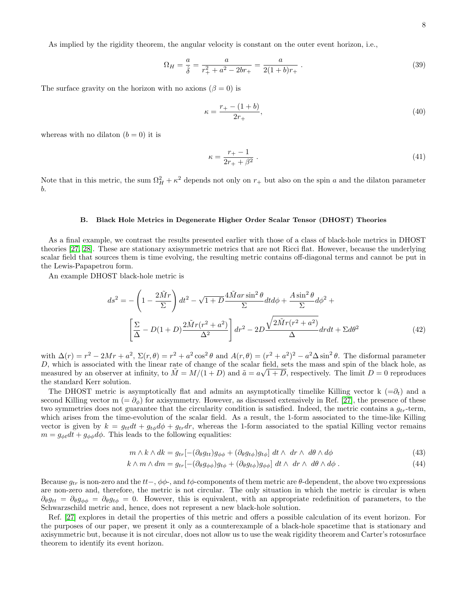$$
\Omega_H = \frac{a}{\hat{\delta}} = \frac{a}{r_+^2 + a^2 - 2br_+} = \frac{a}{2(1+b)r_+} \,. \tag{39}
$$

The surface gravity on the horizon with no axions  $(\beta = 0)$  is

$$
\kappa = \frac{r_+ - (1 + b)}{2r_+},\tag{40}
$$

whereas with no dilaton  $(b = 0)$  it is

$$
\kappa = \frac{r_+ - 1}{2r_+ + \beta^2} \,. \tag{41}
$$

Note that in this metric, the sum  $\Omega_H^2 + \kappa^2$  depends not only on  $r_+$  but also on the spin a and the dilaton parameter b.

### B. Black Hole Metrics in Degenerate Higher Order Scalar Tensor (DHOST) Theories

As a final example, we contrast the results presented earlier with those of a class of black-hole metrics in DHOST theories [\[27,](#page-9-25) [28\]](#page-9-26). These are stationary axisymmetric metrics that are not Ricci flat. However, because the underlying scalar field that sources them is time evolving, the resulting metric contains off-diagonal terms and cannot be put in the Lewis-Papapetrou form.

An example DHOST black-hole metric is

$$
ds^{2} = -\left(1 - \frac{2\tilde{M}r}{\Sigma}\right)dt^{2} - \sqrt{1 + D}\frac{4\tilde{M}ar\sin^{2}\theta}{\Sigma}dt d\phi + \frac{A\sin^{2}\theta}{\Sigma}d\phi^{2} + \left[\frac{\Sigma}{\Delta} - D(1+D)\frac{2\tilde{M}r(r^{2}+a^{2})}{\Delta^{2}}\right]dr^{2} - 2D\frac{\sqrt{2\tilde{M}r(r^{2}+a^{2})}}{\Delta}drdt + \Sigma d\theta^{2}
$$
(42)

with  $\Delta(r) = r^2 - 2Mr + a^2$ ,  $\Sigma(r, \theta) = r^2 + a^2 \cos^2 \theta$  and  $A(r, \theta) = (r^2 + a^2)^2 - a^2 \Delta \sin^2 \theta$ . The disformal parameter D, which is associated with the linear rate of change of the scalar field, sets the mass and spin of the black hole, as  $\tilde{\mu}$ , which is associated with the linear rate of entinge of the sealar field, sees the mass and spin of the state hole, as measured by an observer at infinity, to  $\tilde{M} = M/(1+D)$  and  $\tilde{a} = a\sqrt{1+D}$ , respectively. the standard Kerr solution.

The DHOST metric is asymptotically flat and admits an asymptotically timelike Killing vector k  $(=\partial_t)$  and a second Killing vector m (=  $\partial_{\phi}$ ) for axisymmetry. However, as discussed extensively in Ref. [\[27\]](#page-9-25), the presence of these two symmetries does not guarantee that the circularity condition is satisfied. Indeed, the metric contains a  $q_{tr}$ -term, which arises from the time-evolution of the scalar field. As a result, the 1-form associated to the time-like Killing vector is given by  $k = g_{tt}dt + g_{t\phi}d\phi + g_{tr}dr$ , whereas the 1-form associated to the spatial Killing vector remains  $m = g_{\phi t} dt + g_{\phi \phi} d\phi$ . This leads to the following equalities:

$$
m \wedge k \wedge dk = g_{tr}[-(\partial_{\theta}g_{tt})g_{\phi\phi} + (\partial_{\theta}g_{t\phi})g_{t\phi}] dt \wedge dr \wedge d\theta \wedge d\phi \qquad (43)
$$

$$
k \wedge m \wedge dm = g_{tr}[-(\partial_{\theta}g_{\phi\phi})g_{t\phi} + (\partial_{\theta}g_{t\phi})g_{\phi\phi}] dt \wedge dr \wedge d\theta \wedge d\phi. \qquad (44)
$$

Because  $g_{tr}$  is non-zero and the tt−,  $\phi\phi$ -, and t $\phi$ -components of them metric are  $\theta$ -dependent, the above two expressions are non-zero and, therefore, the metric is not circular. The only situation in which the metric is circular is when  $\partial_{\theta}g_{tt} = \partial_{\theta}g_{\phi} = \partial_{\theta}g_{t\phi} = 0$ . However, this is equivalent, with an appropriate redefinition of parameters, to the Schwarzschild metric and, hence, does not represent a new black-hole solution.

Ref. [\[27\]](#page-9-25) explores in detail the properties of this metric and offers a possible calculation of its event horizon. For the purposes of our paper, we present it only as a counterexample of a black-hole spacetime that is stationary and axisymmetric but, because it is not circular, does not allow us to use the weak rigidity theorem and Carter's rotosurface theorem to identify its event horizon.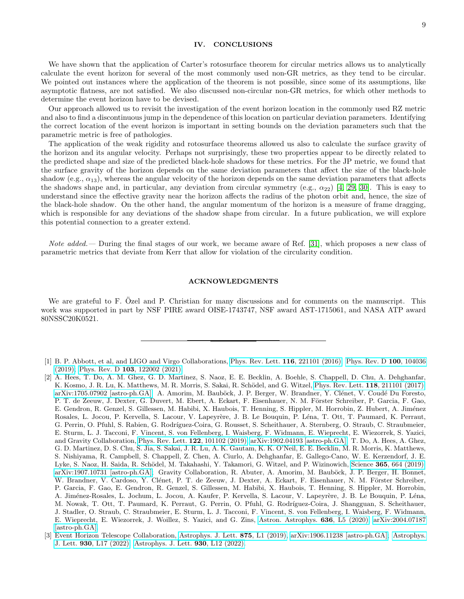# IV. CONCLUSIONS

We have shown that the application of Carter's rotosurface theorem for circular metrics allows us to analytically calculate the event horizon for several of the most commonly used non-GR metrics, as they tend to be circular. We pointed out instances where the application of the theorem is not possible, since some of its assumptions, like asymptotic flatness, are not satisfied. We also discussed non-circular non-GR metrics, for which other methods to determine the event horizon have to be devised.

Our approach allowed us to revisit the investigation of the event horizon location in the commonly used RZ metric and also to find a discontinuous jump in the dependence of this location on particular deviation parameters. Identifying the correct location of the event horizon is important in setting bounds on the deviation parameters such that the parametric metric is free of pathologies.

The application of the weak rigidity and rotosurface theorems allowed us also to calculate the surface gravity of the horizon and its angular velocity. Perhaps not surprisingly, these two properties appear to be directly related to the predicted shape and size of the predicted black-hole shadows for these metrics. For the JP metric, we found that the surface gravity of the horizon depends on the same deviation parameters that affect the size of the black-hole shadow (e.g.,  $\alpha_{13}$ ), whereas the angular velocity of the horizon depends on the same deviation parameters that affects the shadows shape and, in particular, any deviation from circular symmetry (e.g.,  $\alpha_{22}$ ) [\[4,](#page-9-0) [29,](#page-9-27) [30\]](#page-9-28). This is easy to understand since the effective gravity near the horizon affects the radius of the photon orbit and, hence, the size of the black-hole shadow. On the other hand, the angular momentum of the horizon is a measure of frame dragging, which is responsible for any deviations of the shadow shape from circular. In a future publication, we will explore this potential connection to a greater extend.

Note added.— During the final stages of our work, we became aware of Ref. [\[31\]](#page-9-29), which proposes a new class of parametric metrics that deviate from Kerr that allow for violation of the circularity condition.

### ACKNOWLEDGMENTS

We are grateful to F. Ozel and P. Christian for many discussions and for comments on the manuscript. This work was supported in part by NSF PIRE award OISE-1743747, NSF award AST-1715061, and NASA ATP award 80NSSC20K0521.

<span id="page-8-0"></span><sup>[1]</sup> B. P. Abbott, et al, and LIGO and Virgo Collaborations, [Phys. Rev. Lett.](https://doi.org/10.1103/PhysRevLett.116.221101) 116, 221101 (2016); [Phys. Rev. D](https://doi.org/10.1103/PhysRevD.100.104036) 100, 104036 [\(2019\);](https://doi.org/10.1103/PhysRevD.100.104036) Phys. Rev. D 103[, 122002 \(2021\).](https://doi.org/10.1103/PhysRevD.103.122002)

<span id="page-8-1"></span><sup>[2]</sup> A. Hees, T. Do, A. M. Ghez, G. D. Martinez, S. Naoz, E. E. Becklin, A. Boehle, S. Chappell, D. Chu, A. Dehghanfar, K. Kosmo, J. R. Lu, K. Matthews, M. R. Morris, S. Sakai, R. Schödel, and G. Witzel, [Phys. Rev. Lett.](https://doi.org/10.1103/PhysRevLett.118.211101) 118, 211101 (2017), [arXiv:1705.07902 \[astro-ph.GA\];](https://arxiv.org/abs/1705.07902) A. Amorim, M. Bauböck, J. P. Berger, W. Brandner, Y. Clénet, V. Coudé Du Foresto, P. T. de Zeeuw, J. Dexter, G. Duvert, M. Ebert, A. Eckart, F. Eisenhauer, N. M. Förster Schreiber, P. Garcia, F. Gao, E. Gendron, R. Genzel, S. Gillessen, M. Habibi, X. Haubois, T. Henning, S. Hippler, M. Horrobin, Z. Hubert, A. Jiménez Rosales, L. Jocou, P. Kervella, S. Lacour, V. Lapeyrère, J. B. Le Bouquin, P. Léna, T. Ott, T. Paumard, K. Perraut, G. Perrin, O. Pfuhl, S. Rabien, G. Rodríguez-Coira, G. Rousset, S. Scheithauer, A. Sternberg, O. Straub, C. Straubmeier, E. Sturm, L. J. Tacconi, F. Vincent, S. von Fellenberg, I. Waisberg, F. Widmann, E. Wieprecht, E. Wiezorrek, S. Yazici, and Gravity Collaboration, [Phys. Rev. Lett.](https://doi.org/10.1103/PhysRevLett.122.101102) 122, 101102 (2019), [arXiv:1902.04193 \[astro-ph.GA\];](https://arxiv.org/abs/1902.04193) T. Do, A. Hees, A. Ghez, G. D. Martinez, D. S. Chu, S. Jia, S. Sakai, J. R. Lu, A. K. Gautam, K. K. O'Neil, E. E. Becklin, M. R. Morris, K. Matthews, S. Nishiyama, R. Campbell, S. Chappell, Z. Chen, A. Ciurlo, A. Dehghanfar, E. Gallego-Cano, W. E. Kerzendorf, J. E. Lyke, S. Naoz, H. Saida, R. Schödel, M. Takahashi, Y. Takamori, G. Witzel, and P. Wizinowich, Science 365[, 664 \(2019\),](https://doi.org/10.1126/science.aav8137) [arXiv:1907.10731 \[astro-ph.GA\];](https://arxiv.org/abs/1907.10731) Gravity Collaboration, R. Abuter, A. Amorim, M. Bauböck, J. P. Berger, H. Bonnet, W. Brandner, V. Cardoso, Y. Clénet, P. T. de Zeeuw, J. Dexter, A. Eckart, F. Eisenhauer, N. M. Förster Schreiber, P. Garcia, F. Gao, E. Gendron, R. Genzel, S. Gillessen, M. Habibi, X. Haubois, T. Henning, S. Hippler, M. Horrobin, A. Jiménez-Rosales, L. Jochum, L. Jocou, A. Kaufer, P. Kervella, S. Lacour, V. Lapeyrère, J. B. Le Bouquin, P. Léna, M. Nowak, T. Ott, T. Paumard, K. Perraut, G. Perrin, O. Pfuhl, G. Rodríguez-Coira, J. Shangguan, S. Scheithauer, J. Stadler, O. Straub, C. Straubmeier, E. Sturm, L. J. Tacconi, F. Vincent, S. von Fellenberg, I. Waisberg, F. Widmann, E. Wieprecht, E. Wiezorrek, J. Woillez, S. Yazici, and G. Zins, [Astron. Astrophys.](https://doi.org/10.1051/0004-6361/202037813) 636, L5 (2020), [arXiv:2004.07187](https://arxiv.org/abs/2004.07187) [\[astro-ph.GA\].](https://arxiv.org/abs/2004.07187)

<span id="page-8-2"></span><sup>[3]</sup> Event Horizon Telescope Collaboration, [Astrophys. J. Lett.](https://doi.org/10.3847/2041-8213/ab0ec7) 875, L1 (2019), [arXiv:1906.11238 \[astro-ph.GA\];](https://arxiv.org/abs/1906.11238) [Astrophys.](https://doi.org/10.3847/2041-8213/ac6756) J. Lett. 930[, L17 \(2022\);](https://doi.org/10.3847/2041-8213/ac6756) [Astrophys. J. Lett.](https://doi.org/10.3847/2041-8213/ac6674) 930, L12 (2022).